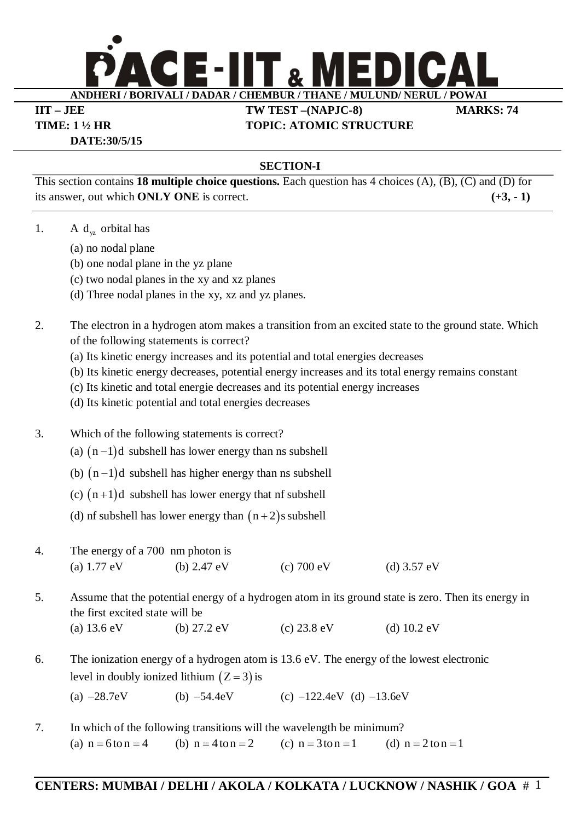

**IIT – JEE TW TEST –(NAPJC-8) MARKS: 74 TIME: 1 ½ HR TOPIC: ATOMIC STRUCTURE**

**DATE:30/5/15**

### **SECTION-I**

This section contains **18 multiple choice questions.** Each question has 4 choices (A), (B), (C) and (D) for its answer, out which **ONLY ONE** is correct. **(+3, - 1)**

- 1. A  $d_{yz}$  orbital has
	- (a) no nodal plane
	- (b) one nodal plane in the yz plane
	- (c) two nodal planes in the xy and xz planes
	- (d) Three nodal planes in the xy, xz and yz planes.

## 2. The electron in a hydrogen atom makes a transition from an excited state to the ground state. Which of the following statements is correct?

- (a) Its kinetic energy increases and its potential and total energies decreases
- (b) Its kinetic energy decreases, potential energy increases and its total energy remains constant
- (c) Its kinetic and total energie decreases and its potential energy increases
- (d) Its kinetic potential and total energies decreases
- 3. Which of the following statements is correct?
	- (a)  $(n-1)d$  subshell has lower energy than ns subshell
	- (b)  $(n-1)d$  subshell has higher energy than ns subshell
	- (c)  $(n+1)d$  subshell has lower energy that nf subshell
	- (d) nf subshell has lower energy than  $(n+2)$ s subshell
- 4. The energy of a 700 nm photon is (a)  $1.77 \text{ eV}$  (b)  $2.47 \text{ eV}$  (c)  $700 \text{ eV}$  (d)  $3.57 \text{ eV}$

5. Assume that the potential energy of a hydrogen atom in its ground state is zero. Then its energy in the first excited state will be (a)  $13.6 \text{ eV}$  (b)  $27.2 \text{ eV}$  (c)  $23.8 \text{ eV}$  (d)  $10.2 \text{ eV}$ 

6. The ionization energy of a hydrogen atom is 13.6 eV. The energy of the lowest electronic level in doubly ionized lithium  $(Z = 3)$  is

(a)  $-28.7eV$  (b)  $-54.4eV$  (c)  $-122.4eV$  (d)  $-13.6eV$ 

7. In which of the following transitions will the wavelength be minimum? (a)  $n = 6$  to  $n = 4$  (b)  $n = 4$  to  $n = 2$  (c)  $n = 3$  to  $n = 1$  (d)  $n = 2$  to  $n = 1$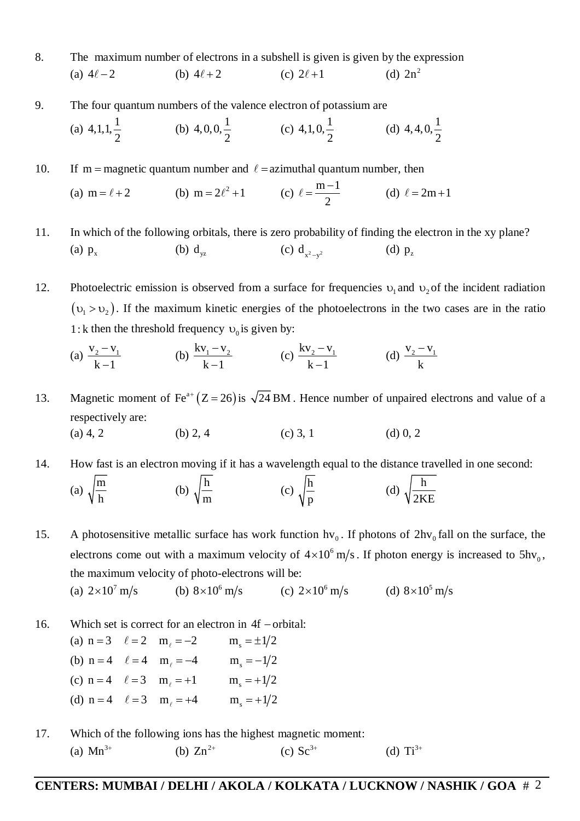- 8. The maximum number of electrons in a subshell is given is given by the expression (a)  $4\ell - 2$  (b)  $4\ell + 2$  (c)  $2\ell + 1$ (d)  $2n^2$
- 9. The four quantum numbers of the valence electron of potassium are

(a) 
$$
4,1,1,\frac{1}{2}
$$
 (b)  $4,0,0,\frac{1}{2}$  (c)  $4,1,0,\frac{1}{2}$  (d)  $4,4,0,\frac{1}{2}$ 

10. If m = magnetic quantum number and  $\ell$  = azimuthal quantum number, then

(a) 
$$
m = \ell + 2
$$
   
 (b)  $m = 2\ell^2 + 1$    
 (c)  $\ell = \frac{m-1}{2}$    
 (d)  $\ell = 2m+1$ 

11. In which of the following orbitals, there is zero probability of finding the electron in the xy plane? (a)  $p_x$  $p_x$  (b)  $d_{yz}$  $d_{yz}$  (c)  $d_{x^2-y^2}$  $(d)$   $p_z$ 

12. Photoelectric emission is observed from a surface for frequencies  $v_1$  and  $v_2$  of the incident radiation  $(v_1 > v_2)$ . If the maximum kinetic energies of the photoelectrons in the two cases are in the ratio 1: k then the threshold frequency  $v_0$  is given by:

(a) 
$$
\frac{v_2 - v_1}{k - 1}
$$
 (b)  $\frac{kv_1 - v_2}{k - 1}$  (c)  $\frac{kv_2 - v_1}{k - 1}$  (d)  $\frac{v_2 - v_1}{k}$ 

13. Magnetic moment of Fe<sup>a+</sup>  $(Z = 26)$  is  $\sqrt{24}$  BM. Hence number of unpaired electrons and value of a respectively are: (a) 4, 2 (b) 2, 4 (c) 3, 1 (d) 0, 2

14. How fast is an electron moving if it has a wavelength equal to the distance travelled in one second: (a)  $\sqrt{\frac{m}{n}}$ h (b)  $\sqrt{\frac{h}{h}}$ m (c)  $\frac{h}{\sqrt{2}}$ p (d)  $\sqrt{\frac{h}{2r}}$ 2KE

15. A photosensitive metallic surface has work function  $hv_0$ . If photons of  $2hv_0$  fall on the surface, the electrons come out with a maximum velocity of  $4 \times 10^6$  m/s. If photon energy is increased to  $5hv_0$ , the maximum velocity of photo-electrons will be:

(a)  $2 \times 10^7$  m/s (b)  $8 \times 10^6$ (b)  $8 \times 10^6$  m/s  $2 \times 10^6$  m/s (d)  $8 \times 10^5$  m/s

- 16. Which set is correct for an electron in  $4f$  orbital:
	- (a)  $n = 3$   $\ell = 2$   $m_{\ell} = -2$   $m_{s} = \pm 1/2$ (b)  $n = 4$   $\ell = 4$   $m_{\ell} = -4$   $m_{s} = -1/2$ (c)  $n = 4$   $\ell = 3$   $m_{\ell} = +1$   $m_{s} = +1/2$ (d)  $n = 4$   $\ell = 3$   $m_{\ell} = +4$   $m_{s} = +1/2$
- 17. Which of the following ions has the highest magnetic moment: (a)  $Mn^{3+}$ (b)  $Zn^{2+}$  $(c) Sc<sup>3+</sup>$ (d)  $Ti^{3+}$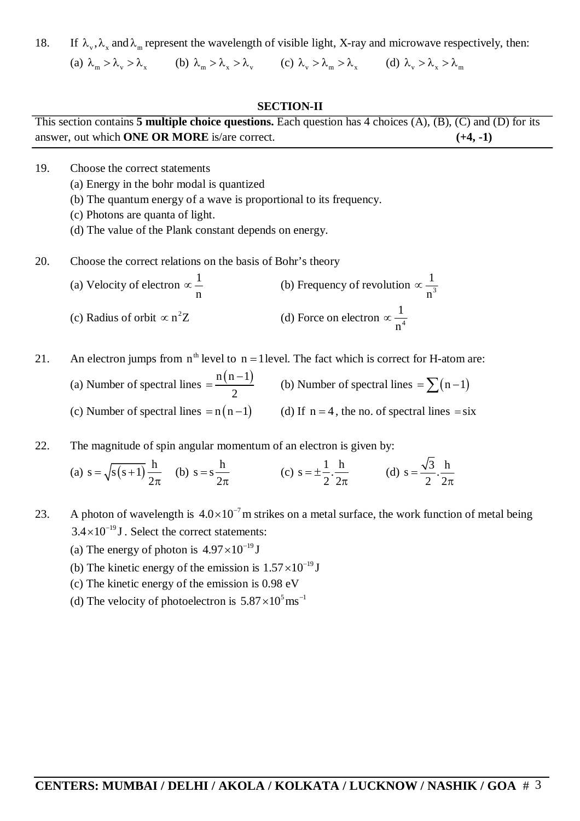18. If  $\lambda_v$ ,  $\lambda_v$  and  $\lambda_w$  represent the wavelength of visible light, X-ray and microwave respectively, then:

(a)  $\lambda_{\rm m} > \lambda_{\rm v} > \lambda_{\rm x}$  (b)  $\lambda_{\rm m} > \lambda_{\rm x} > \lambda_{\rm v}$  (c)  $\lambda_{\rm v} > \lambda_{\rm m} > \lambda_{\rm x}$  (d)  $\lambda_{\rm v} > \lambda_{\rm x} > \lambda_{\rm m}$ 

#### **SECTION-II**

|                                               | This section contains 5 multiple choice questions. Each question has 4 choices $(A)$ , $(B)$ , $(C)$ and $(D)$ for its |
|-----------------------------------------------|------------------------------------------------------------------------------------------------------------------------|
| answer, out which ONE OR MORE is/are correct. | $(+4, -1)$                                                                                                             |

- 19. Choose the correct statements
	- (a) Energy in the bohr modal is quantized
	- (b) The quantum energy of a wave is proportional to its frequency.
	- (c) Photons are quanta of light.
	- (d) The value of the Plank constant depends on energy.
- 20. Choose the correct relations on the basis of Bohr's theory

(a) Velocity of electron  $\propto \frac{1}{1}$ n  $\propto \frac{1}{n}$  (b) Frequency of revolution  $\propto \frac{1}{n^3}$ n  $\infty$ (c) Radius of orbit  $\propto$  n<sup>2</sup>Z (d) Force on electron  $\propto \frac{1}{n^4}$ n  $\infty$ 

- 21. An electron jumps from  $n^{\text{th}}$  level to  $n = 1$  level. The fact which is correct for H-atom are:
	- (a) Number of spectral lines  $= \frac{n(n-1)}{2}$ 2  $=\frac{n(n-1)}{2}$  (b) Number of spectral lines  $=\sum(n-1)$ (c) Number of spectral lines =  $n(n-1)$  (d) If  $n = 4$ , the no. of spectral lines = six
- 22. The magnitude of spin angular momentum of an electron is given by:

(a)  $s = \sqrt{s(s+1)} \frac{h}{2}$ 2  $=\sqrt{s(s+1)}$  $\pi$ (b)  $s = s \frac{h}{2}$ 2  $=$  $\pi$ (c)  $s = \pm \frac{1}{2} \cdot \frac{h}{2}$  $2^{\degree}2^{\degree}$  $= \pm \frac{1}{2}$  $\pi$ (d)  $s = \frac{\sqrt{3}}{2} \cdot \frac{h}{2}$  $2^2$  $=$  $\pi$ 

- 23. A photon of wavelength is  $4.0 \times 10^{-7}$  m strikes on a metal surface, the work function of metal being  $3.4 \times 10^{-19}$  J. Select the correct statements:
	- (a) The energy of photon is  $4.97 \times 10^{-19}$  J
	- (b) The kinetic energy of the emission is  $1.57 \times 10^{-19}$  J
	- (c) The kinetic energy of the emission is 0.98 eV
	- (d) The velocity of photoelectron is  $5.87 \times 10^5$  ms<sup>-1</sup>